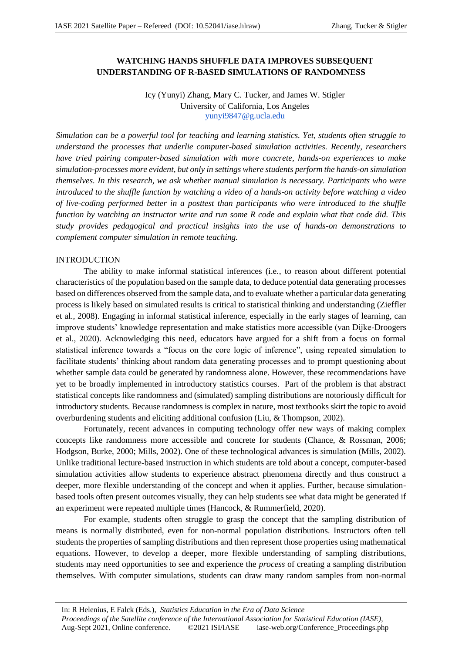# **WATCHING HANDS SHUFFLE DATA IMPROVES SUBSEQUENT UNDERSTANDING OF R-BASED SIMULATIONS OF RANDOMNESS**

# Icy (Yunyi) Zhang, Mary C. Tucker, and James W. Stigler University of California, Los Angeles yunyi9847@g.ucla.edu

*Simulation can be a powerful tool for teaching and learning statistics. Yet, students often struggle to understand the processes that underlie computer-based simulation activities. Recently, researchers have tried pairing computer-based simulation with more concrete, hands-on experiences to make simulation-processes more evident, but only in settings where students perform the hands-on simulation themselves. In this research, we ask whether manual simulation is necessary. Participants who were introduced to the shuffle function by watching a video of a hands-on activity before watching a video of live-coding performed better in a posttest than participants who were introduced to the shuffle function by watching an instructor write and run some R code and explain what that code did. This study provides pedagogical and practical insights into the use of hands-on demonstrations to complement computer simulation in remote teaching.*

## INTRODUCTION

The ability to make informal statistical inferences (i.e., to reason about different potential characteristics of the population based on the sample data, to deduce potential data generating processes based on differences observed from the sample data, and to evaluate whether a particular data generating process is likely based on simulated results is critical to statistical thinking and understanding (Zieffler et al., 2008). Engaging in informal statistical inference, especially in the early stages of learning, can improve students' knowledge representation and make statistics more accessible (van Dijke-Droogers et al., 2020). Acknowledging this need, educators have argued for a shift from a focus on formal statistical inference towards a "focus on the core logic of inference", using repeated simulation to facilitate students' thinking about random data generating processes and to prompt questioning about whether sample data could be generated by randomness alone. However, these recommendations have yet to be broadly implemented in introductory statistics courses. Part of the problem is that abstract statistical concepts like randomness and (simulated) sampling distributions are notoriously difficult for introductory students. Because randomness is complex in nature, most textbooks skirt the topic to avoid overburdening students and eliciting additional confusion (Liu, & Thompson, 2002).

Fortunately, recent advances in computing technology offer new ways of making complex concepts like randomness more accessible and concrete for students (Chance, & Rossman, 2006; Hodgson, Burke, 2000; Mills, 2002). One of these technological advances is simulation (Mills, 2002). Unlike traditional lecture-based instruction in which students are told about a concept, computer-based simulation activities allow students to experience abstract phenomena directly and thus construct a deeper, more flexible understanding of the concept and when it applies. Further, because simulationbased tools often present outcomes visually, they can help students see what data might be generated if an experiment were repeated multiple times (Hancock, & Rummerfield, 2020).

For example, students often struggle to grasp the concept that the sampling distribution of means is normally distributed, even for non-normal population distributions. Instructors often tell students the properties of sampling distributions and then represent those properties using mathematical equations. However, to develop a deeper, more flexible understanding of sampling distributions, students may need opportunities to see and experience the *process* of creating a sampling distribution themselves. With computer simulations, students can draw many random samples from non-normal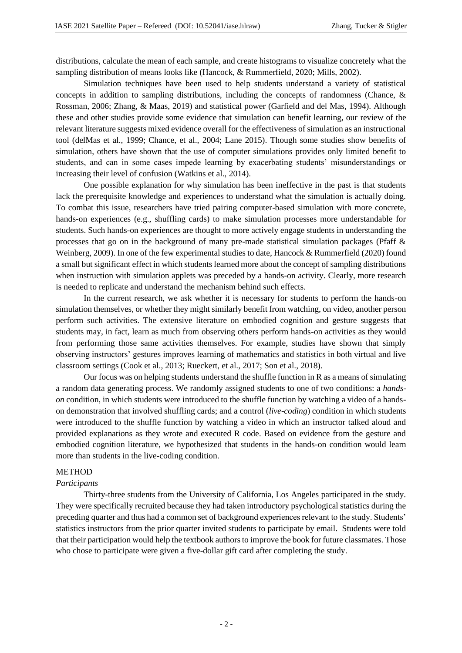distributions, calculate the mean of each sample, and create histograms to visualize concretely what the sampling distribution of means looks like (Hancock, & Rummerfield, 2020; Mills, 2002).

Simulation techniques have been used to help students understand a variety of statistical concepts in addition to sampling distributions, including the concepts of randomness (Chance, & Rossman, 2006; Zhang, & Maas, 2019) and statistical power (Garfield and del Mas, 1994). Although these and other studies provide some evidence that simulation can benefit learning, our review of the relevant literature suggests mixed evidence overall for the effectiveness of simulation as an instructional tool (delMas et al., 1999; Chance, et al., 2004; Lane 2015). Though some studies show benefits of simulation, others have shown that the use of computer simulations provides only limited benefit to students, and can in some cases impede learning by exacerbating students' misunderstandings or increasing their level of confusion (Watkins et al., 2014).

One possible explanation for why simulation has been ineffective in the past is that students lack the prerequisite knowledge and experiences to understand what the simulation is actually doing. To combat this issue, researchers have tried pairing computer-based simulation with more concrete, hands-on experiences (e.g., shuffling cards) to make simulation processes more understandable for students. Such hands-on experiences are thought to more actively engage students in understanding the processes that go on in the background of many pre-made statistical simulation packages (Pfaff & Weinberg, 2009). In one of the few experimental studies to date, Hancock & Rummerfield (2020) found a small but significant effect in which students learned more about the concept of sampling distributions when instruction with simulation applets was preceded by a hands-on activity. Clearly, more research is needed to replicate and understand the mechanism behind such effects.

In the current research, we ask whether it is necessary for students to perform the hands-on simulation themselves, or whether they might similarly benefit from watching, on video, another person perform such activities. The extensive literature on embodied cognition and gesture suggests that students may, in fact, learn as much from observing others perform hands-on activities as they would from performing those same activities themselves. For example, studies have shown that simply observing instructors' gestures improves learning of mathematics and statistics in both virtual and live classroom settings (Cook et al., 2013; Rueckert, et al., 2017; Son et al., 2018).

Our focus was on helping students understand the shuffle function in R as a means of simulating a random data generating process. We randomly assigned students to one of two conditions: a *handson* condition, in which students were introduced to the shuffle function by watching a video of a handson demonstration that involved shuffling cards; and a control (*live-coding*) condition in which students were introduced to the shuffle function by watching a video in which an instructor talked aloud and provided explanations as they wrote and executed R code. Based on evidence from the gesture and embodied cognition literature, we hypothesized that students in the hands-on condition would learn more than students in the live-coding condition.

### **METHOD**

#### *Participants*

Thirty-three students from the University of California, Los Angeles participated in the study. They were specifically recruited because they had taken introductory psychological statistics during the preceding quarter and thus had a common set of background experiences relevant to the study. Students' statistics instructors from the prior quarter invited students to participate by email. Students were told that their participation would help the textbook authors to improve the book for future classmates. Those who chose to participate were given a five-dollar gift card after completing the study.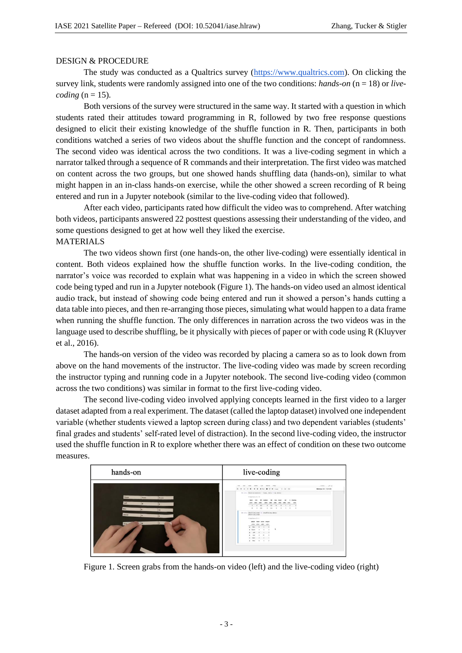### DESIGN & PROCEDURE

The study was conducted as a Qualtrics survey (https://www.qualtrics.com). On clicking the survey link, students were randomly assigned into one of the two conditions: *hands-on* (n = 18) or *livecoding*  $(n = 15)$ .

Both versions of the survey were structured in the same way. It started with a question in which students rated their attitudes toward programming in R, followed by two free response questions designed to elicit their existing knowledge of the shuffle function in R. Then, participants in both conditions watched a series of two videos about the shuffle function and the concept of randomness. The second video was identical across the two conditions. It was a live-coding segment in which a narrator talked through a sequence of R commands and their interpretation. The first video was matched on content across the two groups, but one showed hands shuffling data (hands-on), similar to what might happen in an in-class hands-on exercise, while the other showed a screen recording of R being entered and run in a Jupyter notebook (similar to the live-coding video that followed).

After each video, participants rated how difficult the video was to comprehend. After watching both videos, participants answered 22 posttest questions assessing their understanding of the video, and some questions designed to get at how well they liked the exercise.

# MATERIALS

The two videos shown first (one hands-on, the other live-coding) were essentially identical in content. Both videos explained how the shuffle function works. In the live-coding condition, the narrator's voice was recorded to explain what was happening in a video in which the screen showed code being typed and run in a Jupyter notebook (Figure 1). The hands-on video used an almost identical audio track, but instead of showing code being entered and run it showed a person's hands cutting a data table into pieces, and then re-arranging those pieces, simulating what would happen to a data frame when running the shuffle function. The only differences in narration across the two videos was in the language used to describe shuffling, be it physically with pieces of paper or with code using R (Kluyver et al., 2016).

The hands-on version of the video was recorded by placing a camera so as to look down from above on the hand movements of the instructor. The live-coding video was made by screen recording the instructor typing and running code in a Jupyter notebook. The second live-coding video (common across the two conditions) was similar in format to the first live-coding video.

The second live-coding video involved applying concepts learned in the first video to a larger dataset adapted from a real experiment. The dataset (called the laptop dataset) involved one independent variable (whether students viewed a laptop screen during class) and two dependent variables (students' final grades and students' self-rated level of distraction). In the second live-coding video, the instructor used the shuffle function in R to explore whether there was an effect of condition on these two outcome measures.

| hands-on                                                                                   | live-coding                                                                                                                                                                                                                                                                                                                                                                                                                                                                                                                                                                    |
|--------------------------------------------------------------------------------------------|--------------------------------------------------------------------------------------------------------------------------------------------------------------------------------------------------------------------------------------------------------------------------------------------------------------------------------------------------------------------------------------------------------------------------------------------------------------------------------------------------------------------------------------------------------------------------------|
| Player<br>Boarn<br><b>Team</b><br>Jut<br><b>Desk</b><br>30<br><b>Desta</b><br>1 A<br>Alex. | con your start Las surrel two<br>2008 - 19 M<br>top:<br>5 + 2 0 6 + + + to 8 0 + (ps + B +<br>Memory: 3237 1004 MB<br>In [4]: Excelata(acook - tous, data - sy.data)<br>A Adultsman E + 101<br>man mean<br><b>STATISTICS</b><br>$-$<br>a most<br>ather while when<br>and the second control series.<br><b>A 1 4 1 1 4 1 1 1 1 1</b><br>In (1): shaffled.rows < shuffleony.data:<br>shafflad, rose<br>A detectories \$ 4.41<br>phone faist score selaint<br>solve sales white sales<br>8 - Rec. - R - S - R<br>4 Smith<br>$-48$<br>4 10<br><b>Sec</b><br>1 Mar 4 8<br>8 Apr 8 5 |

Figure 1. Screen grabs from the hands-on video (left) and the live-coding video (right)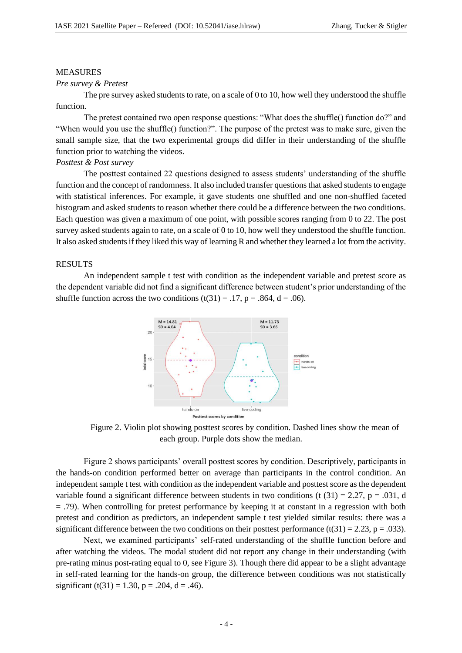### MEASURES

#### *Pre survey & Pretest*

The pre survey asked students to rate, on a scale of 0 to 10, how well they understood the shuffle function.

The pretest contained two open response questions: "What does the shuffle() function do?" and "When would you use the shuffle() function?". The purpose of the pretest was to make sure, given the small sample size, that the two experimental groups did differ in their understanding of the shuffle function prior to watching the videos.

#### *Posttest & Post survey*

The posttest contained 22 questions designed to assess students' understanding of the shuffle function and the concept of randomness. It also included transfer questions that asked students to engage with statistical inferences. For example, it gave students one shuffled and one non-shuffled faceted histogram and asked students to reason whether there could be a difference between the two conditions. Each question was given a maximum of one point, with possible scores ranging from 0 to 22. The post survey asked students again to rate, on a scale of 0 to 10, how well they understood the shuffle function. It also asked students if they liked this way of learning R and whether they learned a lot from the activity.

# **RESULTS**

An independent sample t test with condition as the independent variable and pretest score as the dependent variable did not find a significant difference between student's prior understanding of the shuffle function across the two conditions  $(t(31) = .17, p = .864, d = .06)$ .



Figure 2. Violin plot showing posttest scores by condition. Dashed lines show the mean of each group. Purple dots show the median.

Figure 2 shows participants' overall posttest scores by condition. Descriptively, participants in the hands-on condition performed better on average than participants in the control condition. An independent sample t test with condition as the independent variable and posttest score as the dependent variable found a significant difference between students in two conditions (t  $(31) = 2.27$ , p = .031, d  $=$  .79). When controlling for pretest performance by keeping it at constant in a regression with both pretest and condition as predictors, an independent sample t test yielded similar results: there was a significant difference between the two conditions on their posttest performance (t(31) = 2.23, p = .033).

Next, we examined participants' self-rated understanding of the shuffle function before and after watching the videos. The modal student did not report any change in their understanding (with pre-rating minus post-rating equal to 0, see Figure 3). Though there did appear to be a slight advantage in self-rated learning for the hands-on group, the difference between conditions was not statistically significant (t(31) = 1.30, p = .204, d = .46).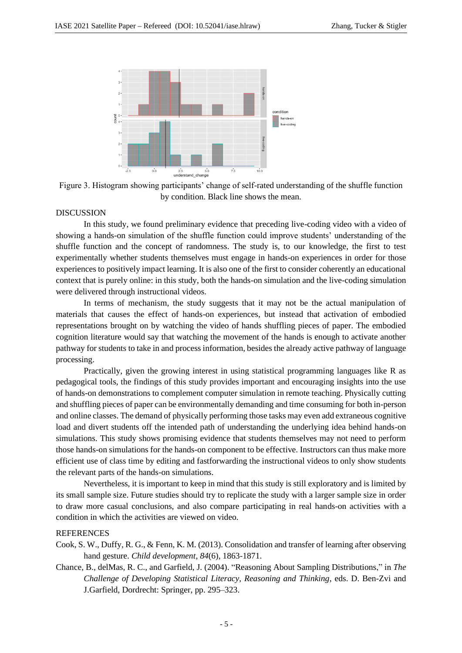

Figure 3. Histogram showing participants' change of self-rated understanding of the shuffle function by condition. Black line shows the mean.

#### DISCUSSION

In this study, we found preliminary evidence that preceding live-coding video with a video of showing a hands-on simulation of the shuffle function could improve students' understanding of the shuffle function and the concept of randomness. The study is, to our knowledge, the first to test experimentally whether students themselves must engage in hands-on experiences in order for those experiences to positively impact learning. It is also one of the first to consider coherently an educational context that is purely online: in this study, both the hands-on simulation and the live-coding simulation were delivered through instructional videos.

In terms of mechanism, the study suggests that it may not be the actual manipulation of materials that causes the effect of hands-on experiences, but instead that activation of embodied representations brought on by watching the video of hands shuffling pieces of paper. The embodied cognition literature would say that watching the movement of the hands is enough to activate another pathway for students to take in and process information, besides the already active pathway of language processing.

Practically, given the growing interest in using statistical programming languages like R as pedagogical tools, the findings of this study provides important and encouraging insights into the use of hands-on demonstrations to complement computer simulation in remote teaching. Physically cutting and shuffling pieces of paper can be environmentally demanding and time consuming for both in-person and online classes. The demand of physically performing those tasks may even add extraneous cognitive load and divert students off the intended path of understanding the underlying idea behind hands-on simulations. This study shows promising evidence that students themselves may not need to perform those hands-on simulations for the hands-on component to be effective. Instructors can thus make more efficient use of class time by editing and fastforwarding the instructional videos to only show students the relevant parts of the hands-on simulations.

Nevertheless, it is important to keep in mind that this study is still exploratory and is limited by its small sample size. Future studies should try to replicate the study with a larger sample size in order to draw more casual conclusions, and also compare participating in real hands-on activities with a condition in which the activities are viewed on video.

### **REFERENCES**

- Cook, S. W., Duffy, R. G., & Fenn, K. M. (2013). Consolidation and transfer of learning after observing hand gesture. *Child development*, *84*(6), 1863-1871.
- Chance, B., delMas, R. C., and Garfield, J. (2004). "Reasoning About Sampling Distributions," in *The Challenge of Developing Statistical Literacy, Reasoning and Thinking*, eds. D. Ben-Zvi and J.Garfield, Dordrecht: Springer, pp. 295–323.